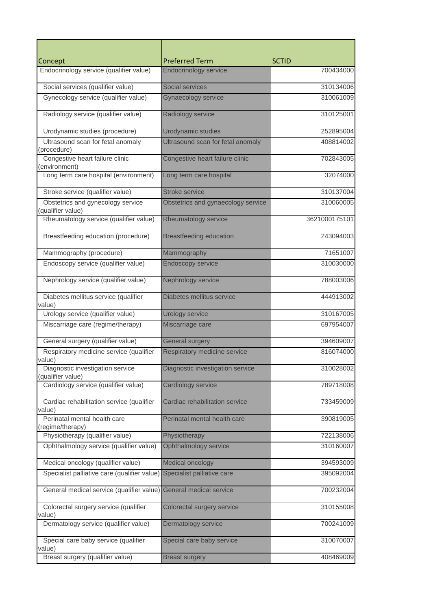| Concept                                                   | <b>Preferred Term</b>              | <b>SCTID</b>  |
|-----------------------------------------------------------|------------------------------------|---------------|
| Endocrinology service (qualifier value)                   | <b>Endocrinology service</b>       | 700434000     |
| Social services (qualifier value)                         | Social services                    | 310134006     |
| Gynecology service (qualifier value)                      | <b>Gynaecology service</b>         | 310061009     |
| Radiology service (qualifier value)                       | Radiology service                  | 310125001     |
| Urodynamic studies (procedure)                            | <b>Urodynamic studies</b>          | 252895004     |
| Ultrasound scan for fetal anomaly<br>(procedure)          | Ultrasound scan for fetal anomaly  | 408814002     |
| Congestive heart failure clinic                           | Congestive heart failure clinic    | 702843005     |
| (environment)                                             |                                    |               |
| Long term care hospital (environment)                     | Long term care hospital            | 32074000      |
| Stroke service (qualifier value)                          | <b>Stroke service</b>              | 310137004     |
| Obstetrics and gynecology service                         | Obstetrics and gynaecology service | 310060005     |
| (qualifier value)                                         |                                    | 3621000175101 |
| Rheumatology service (qualifier value)                    | Rheumatology service               |               |
| Breastfeeding education (procedure)                       | <b>Breastfeeding education</b>     | 243094003     |
| Mammography (procedure)                                   | Mammography                        | 71651007      |
| Endoscopy service (qualifier value)                       | <b>Endoscopy service</b>           | 310030000     |
| Nephrology service (qualifier value)                      | Nephrology service                 | 788003006     |
| Diabetes mellitus service (qualifier<br>value)            | Diabetes mellitus service          | 444913002     |
| Urology service (qualifier value)                         | <b>Urology service</b>             | 310167005     |
| Miscarriage care (regime/therapy)                         | Miscarriage care                   | 697954007     |
| General surgery (qualifier value)                         | <b>General surgery</b>             | 394609007     |
| Respiratory medicine service (qualifier                   | Respiratory medicine service       | 816074000     |
| value)<br>Diagnostic investigation service                | Diagnostic investigation service   | 310028002     |
| (qualifier value)<br>Cardiology service (qualifier value) | Cardiology service                 | 789718008     |
|                                                           |                                    |               |
| Cardiac rehabilitation service (qualifier<br>value)       | Cardiac rehabilitation service     | 733459009     |
| Perinatal mental health care<br>(regime/therapy)          | Perinatal mental health care       | 390819005     |
| Physiotherapy (qualifier value)                           | Physiotherapy                      | 722138006     |
| Ophthalmology service (qualifier value)                   | Ophthalmology service              | 310160007     |
| Medical oncology (qualifier value)                        | Medical oncology                   | 394593009     |
| Specialist palliative care (qualifier value)              | Specialist palliative care         | 395092004     |
| General medical service (qualifier value)                 | General medical service            | 700232004     |
| Colorectal surgery service (qualifier<br>value)           | Colorectal surgery service         | 310155008     |
| Dermatology service (qualifier value)                     | Dermatology service                | 700241009     |
| Special care baby service (qualifier<br>value)            | Special care baby service          | 310070007     |
| Breast surgery (qualifier value)                          | <b>Breast surgery</b>              | 408469009     |
|                                                           |                                    |               |